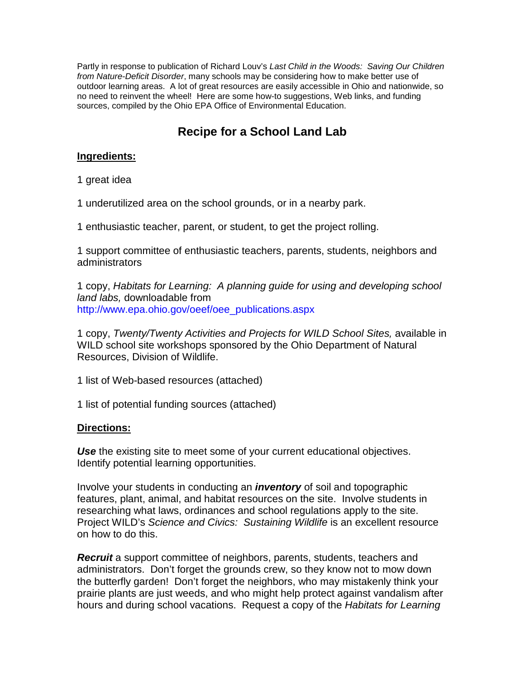Partly in response to publication of Richard Louv's *Last Child in the Woods: Saving Our Children from Nature-Deficit Disorder*, many schools may be considering how to make better use of outdoor learning areas. A lot of great resources are easily accessible in Ohio and nationwide, so no need to reinvent the wheel! Here are some how-to suggestions, Web links, and funding sources, compiled by the Ohio EPA Office of Environmental Education.

# **Recipe for a School Land Lab**

### **Ingredients:**

1 great idea

1 underutilized area on the school grounds, or in a nearby park.

1 enthusiastic teacher, parent, or student, to get the project rolling.

1 support committee of enthusiastic teachers, parents, students, neighbors and administrators

1 copy, *Habitats for Learning: A planning guide for using and developing school land labs,* downloadable from http://www.epa.ohio.gov/oeef/oee\_publications.aspx

1 copy, *Twenty/Twenty Activities and Projects for WILD School Sites,* available in WILD school site workshops sponsored by the Ohio Department of Natural Resources, Division of Wildlife.

1 list of Web-based resources (attached)

1 list of potential funding sources (attached)

### **Directions:**

*Use* the existing site to meet some of your current educational objectives. Identify potential learning opportunities.

Involve your students in conducting an *inventory* of soil and topographic features, plant, animal, and habitat resources on the site. Involve students in researching what laws, ordinances and school regulations apply to the site. Project WILD's *Science and Civics: Sustaining Wildlife* is an excellent resource on how to do this.

*Recruit* a support committee of neighbors, parents, students, teachers and administrators. Don't forget the grounds crew, so they know not to mow down the butterfly garden! Don't forget the neighbors, who may mistakenly think your prairie plants are just weeds, and who might help protect against vandalism after hours and during school vacations. Request a copy of the *Habitats for Learning*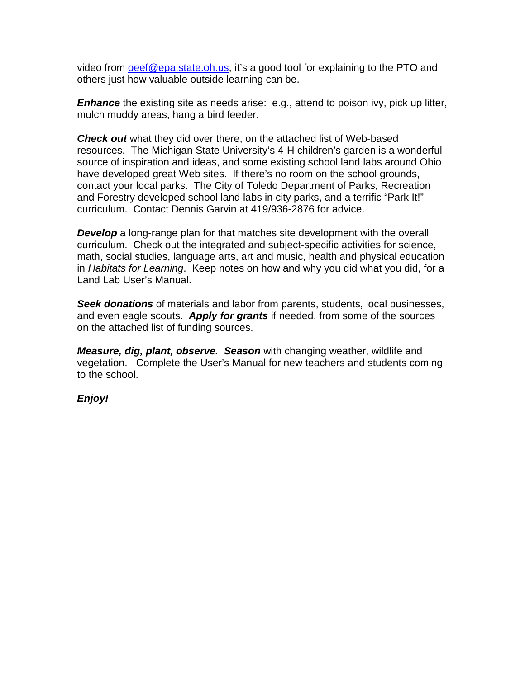video from **oeef@epa.state.oh.us**, it's a good tool for explaining to the PTO and others just how valuable outside learning can be.

*Enhance* the existing site as needs arise: e.g., attend to poison ivy, pick up litter, mulch muddy areas, hang a bird feeder.

*Check out* what they did over there, on the attached list of Web-based resources. The Michigan State University's 4-H children's garden is a wonderful source of inspiration and ideas, and some existing school land labs around Ohio have developed great Web sites. If there's no room on the school grounds, contact your local parks. The City of Toledo Department of Parks, Recreation and Forestry developed school land labs in city parks, and a terrific "Park It!" curriculum. Contact Dennis Garvin at 419/936-2876 for advice.

**Develop** a long-range plan for that matches site development with the overall curriculum. Check out the integrated and subject-specific activities for science, math, social studies, language arts, art and music, health and physical education in *Habitats for Learning*. Keep notes on how and why you did what you did, for a Land Lab User's Manual.

*Seek donations* of materials and labor from parents, students, local businesses, and even eagle scouts. *Apply for grants* if needed, from some of the sources on the attached list of funding sources.

*Measure, dig, plant, observe. Season* with changing weather, wildlife and vegetation. Complete the User's Manual for new teachers and students coming to the school.

*Enjoy!*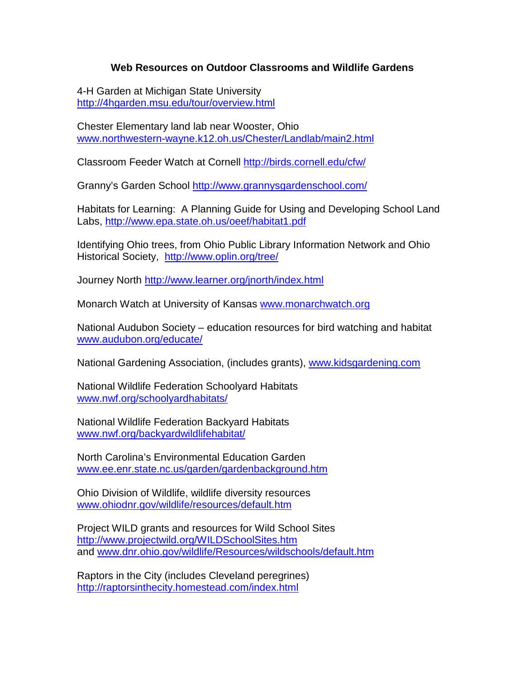## **Web Resources on Outdoor Classrooms and Wildlife Gardens**

4-H Garden at Michigan State University <http://4hgarden.msu.edu/tour/overview.html>

Chester Elementary land lab near Wooster, Ohio [www.northwestern-wayne.k12.oh.us/Chester/Landlab/main2.html](http://www.northwestern-wayne.k12.oh.us/Chester/Landlab/main2.html)

Classroom Feeder Watch at Cornell<http://birds.cornell.edu/cfw/>

Granny's Garden School http://www.grannysgardenschool.com/

Habitats for Learning: A Planning Guide for Using and Developing School Land Labs, http://www.epa.state.oh.us/oeef/habitat1.pdf

Identifying Ohio trees, from Ohio Public Library Information Network and Ohio Historical Society, <http://www.oplin.org/tree/>

Journey North<http://www.learner.org/jnorth/index.html>

Monarch Watch at University of Kansas [www.monarchwatch.org](http://www.monarchwatch.org/)

National Audubon Society – education resources for bird watching and habitat [www.audubon.org/educate/](http://www.audubon.org/educate/)

National Gardening Association, (includes grants), [www.kidsgardening.com](http://www.kidsgardening.com/)

National Wildlife Federation Schoolyard Habitats [www.nwf.org/schoolyardhabitats/](http://www.nwf.org/schoolyardhabitats/)

National Wildlife Federation Backyard Habitats [www.nwf.org/backyardwildlifehabitat/](http://www.nwf.org/backyardwildlifehabitat/)

North Carolina's Environmental Education Garden [www.ee.enr.state.nc.us/garden/gardenbackground.htm](http://www.ee.enr.state.nc.us/garden/gardenbackground.htm)

Ohio Division of Wildlife, wildlife diversity resources [www.ohiodnr.gov/wildlife/resources/default.htm](http://www.ohiodnr.gov/wildlife/resources/default.htm)

Project WILD grants and resources for Wild School Sites http://www.projectwild.org/WILDSchoolSites.htm and [www.dnr.ohio.gov/wildlife/Resources/wildschools/default.htm](http://www.dnr.ohio.gov/wildlife/Resources/wildschools/default.htm)

Raptors in the City (includes Cleveland peregrines) <http://raptorsinthecity.homestead.com/index.html>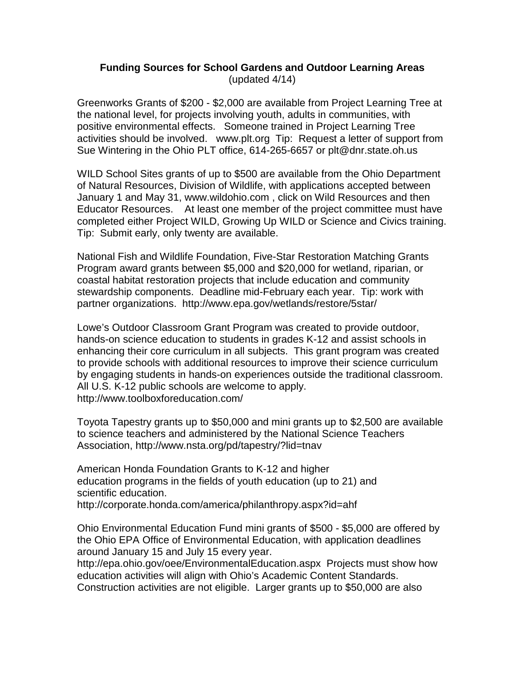### **Funding Sources for School Gardens and Outdoor Learning Areas** (updated 4/14)

Greenworks Grants of \$200 - \$2,000 are available from Project Learning Tree at the national level, for projects involving youth, adults in communities, with positive environmental effects. Someone trained in Project Learning Tree activities should be involved. www.plt.org Tip: Request a letter of support from Sue Wintering in the Ohio PLT office, 614-265-6657 or plt@dnr.state.oh.us

WILD School Sites grants of up to \$500 are available from the Ohio Department of Natural Resources, Division of Wildlife, with applications accepted between January 1 and May 31, www.wildohio.com , click on Wild Resources and then Educator Resources. At least one member of the project committee must have completed either Project WILD, Growing Up WILD or Science and Civics training. Tip: Submit early, only twenty are available.

National Fish and Wildlife Foundation, Five-Star Restoration Matching Grants Program award grants between \$5,000 and \$20,000 for wetland, riparian, or coastal habitat restoration projects that include education and community stewardship components. Deadline mid-February each year. Tip: work with partner organizations. http://www.epa.gov/wetlands/restore/5star/

Lowe's Outdoor Classroom Grant Program was created to provide outdoor, hands-on science education to students in grades K-12 and assist schools in enhancing their core curriculum in all subjects. This grant program was created to provide schools with additional resources to improve their science curriculum by engaging students in hands-on experiences outside the traditional classroom. All U.S. K-12 public schools are welcome to apply. http://www.toolboxforeducation.com/

Toyota Tapestry grants up to \$50,000 and mini grants up to \$2,500 are available to science teachers and administered by the National Science Teachers Association, http://www.nsta.org/pd/tapestry/?lid=tnav

American Honda Foundation Grants to K-12 and higher education programs in the fields of youth education (up to 21) and scientific education.

http://corporate.honda.com/america/philanthropy.aspx?id=ahf

Ohio Environmental Education Fund mini grants of \$500 - \$5,000 are offered by the Ohio EPA Office of Environmental Education, with application deadlines around January 15 and July 15 every year.

http://epa.ohio.gov/oee/EnvironmentalEducation.aspx Projects must show how education activities will align with Ohio's Academic Content Standards. Construction activities are not eligible. Larger grants up to \$50,000 are also